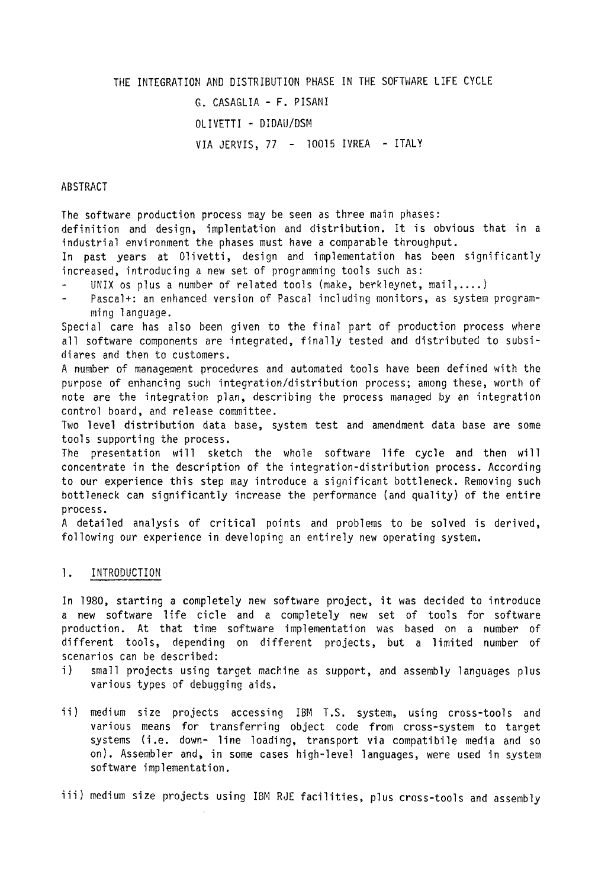THE INTEGRATION AND DISTRIBUTION PHASE IN THE SOFTWARE LIFE CYCLE

G. CASAGLIA - F. PISANI OLIVETTI - DIDAU/DSM VIA JERVIS, 77 - 10015 IVREA - ITALY

ABSTRACT

The software production process may be seen as three main phases: definition and design, implentation and distribution. It is obvious that in a industrial environment the phases must have a comparable throughput.

In past years at Olivetti, design and implementation has been significantly increased, introducing a new set of programming tools such as:

- UNIX os plus a number of related tools (make, berkleynet, mail,....)
- Pascal+: an enhanced version of Pascal including monitors, as system programming language.

Special care has also been given to the final part of production process where all software components are integrated, finally tested and distributed to subsidiares and then to customers.

A number of management procedures and automated tools have been defined with the purpose of enhancing such integration/distribution process; among these, worth of note are the integration plan, describing the process managed by an integration control board, and release committee.

Two level distribution data base, system test and amendment data base are some tools supporting the process.

The presentation will sketch the whole software life cycle and then will concentrate in the description of the integration-distribution process. According to our experience this step may introduce a significant bottleneck. Removing such bottleneck can significantly increase the performance (and quality) of the entire process.

A detailed analysis of critical points and problems to be solved is derived, following our experience in developing an entirely new operating system.

# I. INTRODUCTION

In 1980, starting a completely new software project, it was decided to introduce a new software life cicle and a completely new set of tools for software production. At that time software implementation was based on a number of different tools, depending on different projects, but a limited number of scenarios can be described:

- i) small projects using target machine as support, and assembly languages plus various types of debugging aids.
- ii) medium size projects accessing IBM T.S. system, using cross-tools and various means for transferring object code from cross-system to target systems (i.e. down- line loading, transport via compatibile media and so on). Assembler and, in some cases high-level languages, were used in system software implementation.

iii) medium size projects using IBM RJE facilities, plus cross-tools and assembly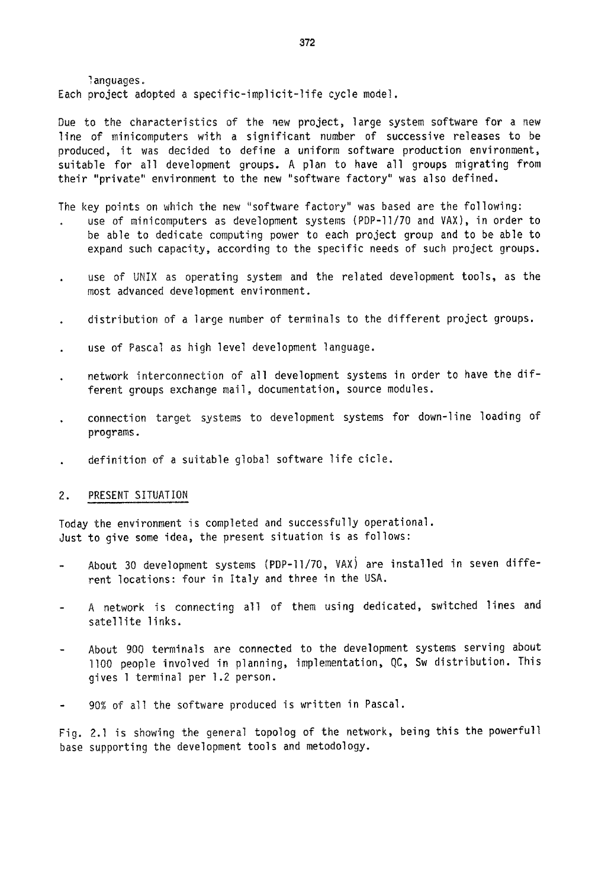languages. Each project adopted a specific-implicit-life cycle model.

Due to the characteristics of the new project, large system software for a new line of minicomputers with a significant number of successive releases to be produced, it was decided to define a uniform software production environment, suitable for all development groups. A plan to have all groups migrating from their "private" environment to the new "software factory" was also defined.

The key points on which the new "software factory" was based are the following:

- use of minicomputers as development systems (PDP-II/70 and VAX), in order to be able to dedicate computing power to each project group and to be able to expand such capacity, according to the specific needs of such project groups.
- use of UNIX as operating system and the related development tools, as the most advanced development environment.
- distribution of a large number of terminals to the different project groups.
- use of Pascal as high level development language.
- network interconnection of all development systems in order to have the different groups exchange mail, documentation, source modules.
- connection target systems to development systems for down-line loading of programs.
- definition of a suitable global software life cicle.

#### 2. PRESENT SITUATION

Today the environment is completed and successfully operational. Just to give some idea, the present situation is as follows:

- About 30 development systems (PDP-11/70, VAX) are installed in seven different locations: four in Italy and three in the USA.
- A network is connecting all of them using dedicated, switched lines and satellite links.
- About 900 terminals are connected to the development systems serving about II00 people involved in planning, implementation, QC, Sw distribution. This gives 1 terminal per 1.2 person.
- 90% of all the software produced is written in Pascal.  $\blacksquare$

Fig. 2.1 is showing the general topolog of the network, being this the powerfull base supporting the development tools and metodology.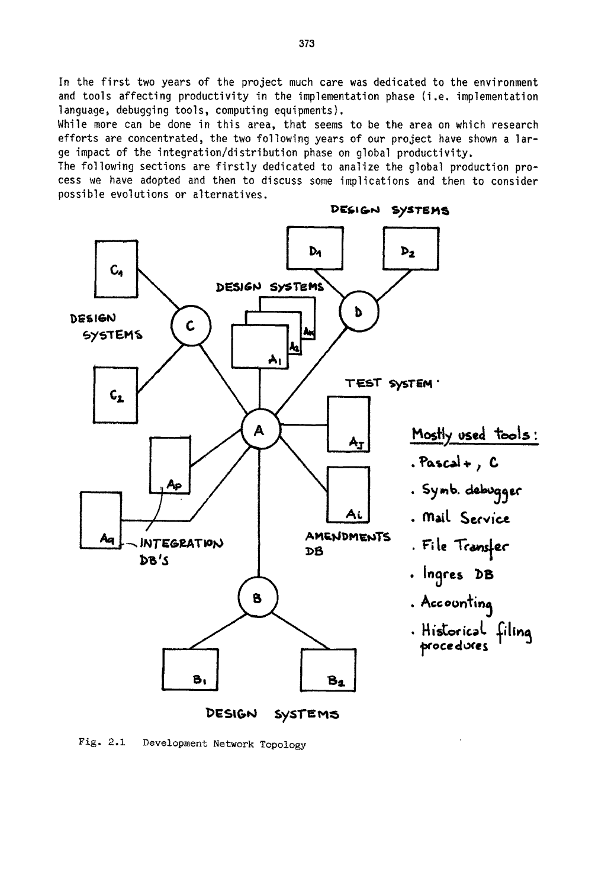In the first two years of the project much care was dedicated to the environment and tools affecting productivity in the implementation phase (i.e. implementation language, debugging tools, computing equipments).

While more can be done in this area, that seems to be the area on which research efforts are concentrated, the two following years of our project have shown a large impact of the integration/distribution phase on global productivity.

The following sections are firstly dedicated to analize the global production process we have adopted and then to discuss some implications and then to consider possible evolutions or alternatives.



Fig. 2.1 Development Network Topology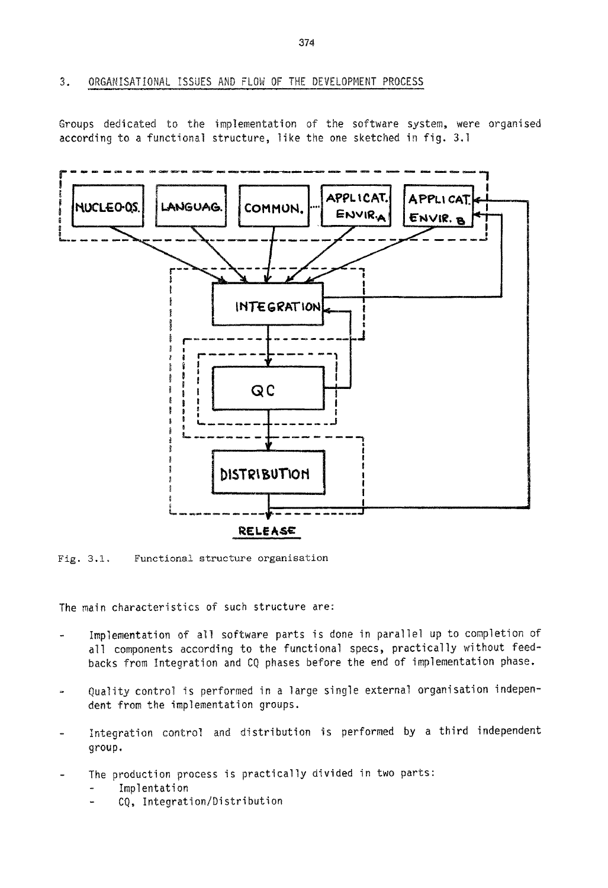### 3. ORGANISATIONAL ISSUES AND FLOW OF THE DEVELOPMENT PROCESS

Groups dedicated to the implementation of the software system, were organised according to a functional structure, like the one sketched in fig. 3.1



Fig, 3,1° Functional structure organisation

The main characteristics of such structure are:

- Implementation of all software parts is done in parallel up to completion of all components according to the functional specs, practically without feedbacks from Integration and CQ phases before the end of implementation phase.
- Quality control is performed in a large single external organisation independent from the implementation groups.
- Integration control and distribution is performed by a third independent group.
- The production process is practically divided in two parts:
	- Implentation
	- CQ, Integration/Distribution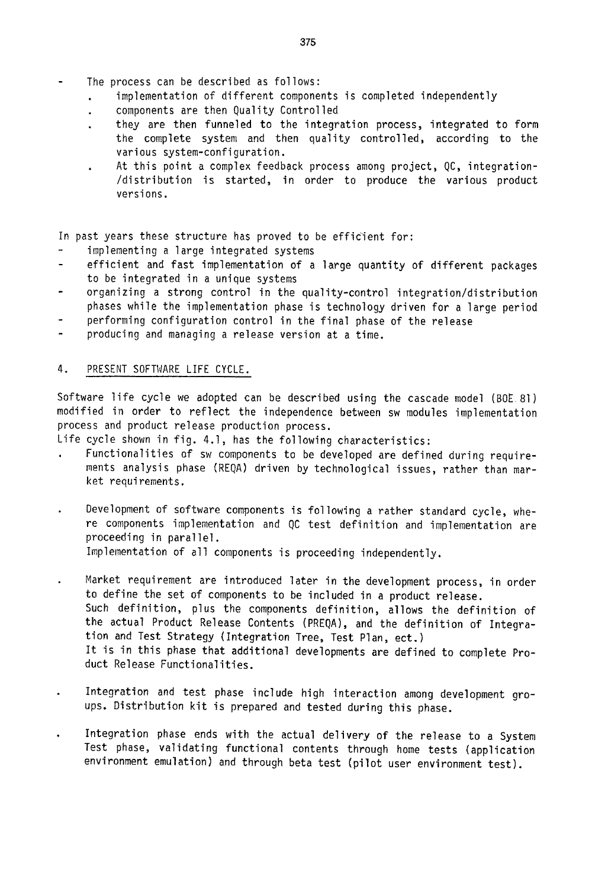- The process can be described as follows:  $\blacksquare$ 
	- implementation of different components is completed independently
	- components are then Quality Controlled
	- they are then funneled to the integration process, integrated to form the complete system and then quality controlled, according to the various system-configuration.
	- At this point a complex feedback process among project, QC, integration- /distribution is started, in order to produce the various product versions.

In past years these structure has proved to be efficient for:

- implementing a large integrated systems  $\overline{\phantom{a}}$
- efficient and fast implementation of a large quantity of different packages ä, to be integrated in a unique systems
- organizing a strong control in the quality-control integration/distribution phases while the implementation phase is technology driven for a large period
- performing configuration control in the final phase of the release
- $\blacksquare$ producing and managing a release version at a time.

# 4. PRESENT SOFTWARE LIFE CYCLE.

Software life cycle we adopted can be described using the cascade model (BOE.81) modified in order to reflect the independence between sw modules implementation process and product release production process.

Life cycle shown in fig. 4.1, has the following characteristics:

- Functionalities of sw components to be developed are defined during require- $\ddot{\phantom{a}}$ ments analysis phase (REQA) driven by technological issues, rather than market requirements.
- Development of software components is following a rather standard cycle, whe- $\mathbf{r}$ re components implementation and QC test definition and implementation are proceeding in parallel.

Implementation of all components is proceeding independently.

- Market requirement are introduced later in the development process, in order to define the set of components to be included in a product release. Such definition, plus the components definition, allows the definition of the actual Product Release Contents (PREQA), and the definition of Integration and Test Strategy (Integration Tree, Test Plan, ect.) It is in this phase that additional developments are defined to complete Product Release Functionalities.
- Integration and test phase include high interaction among development gro- $\bullet$ ups. Distribution kit is prepared and tested during this phase.
- Integration phase ends with the actual delivery of the release to a System Test phase, validating functional contents through home tests (application environment emulation) and through beta test (pilot user environment test).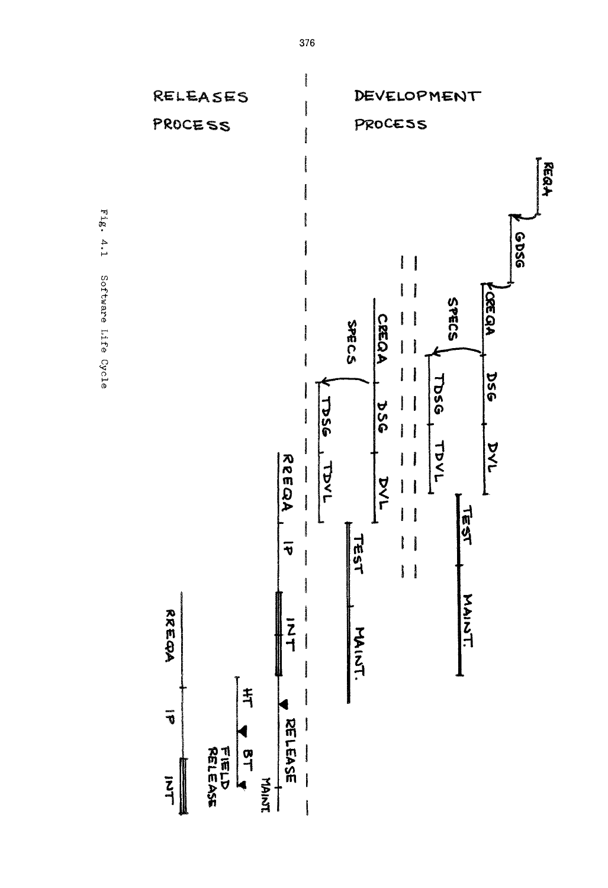$Fig. 4.1$ Software Life Cycle

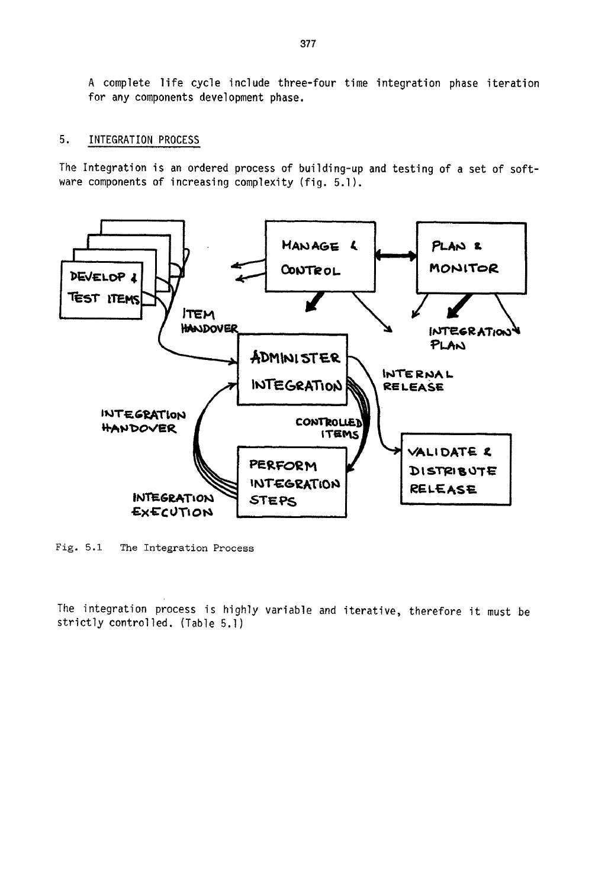A complete life cycle include three-four time integration phase iteration for any components development phase.

## 5. INTEGRATION PROCESS

The Integration is an ordered process of building-up and testing of a set of software components of increasing complexity (fig, 5.1).



Fig. 5.1 The Integration Process

The integration process is highly variable and iterative, therefore it must be strictly controlled. (Table 5.1)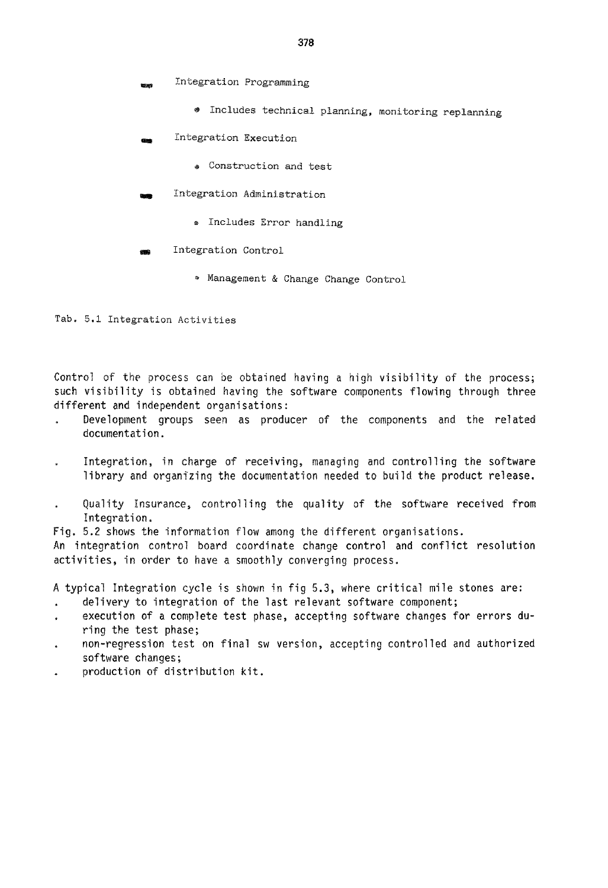Integration Programming

- $\bullet$  Includes technical planning, monitoring replanning
- integration Execution
	- \* Construction and test
- Integration Administration
	- Includes Error handling
- Integration Control
	- Management & Change Change Control

Tab. 5.1 Integration Activities

Control of the process can be obtained having a high visibility of the process; such visibility is obtained having the software components flowing through three different and independent organisations:

- Development groups seen as producer of the components and the related documentation.
- Integration, in charge of receiving, managing and controlling the software library and organizing the documentation needed to build the product release.
- Quality Insurance, controlling the quality of the software received from  $\bullet$ Integration.

Fig. 5.2 shows the information flow among the different organisations.

An integration control board coordinate change control and conflict resolution activities, in order to have a smoothly converging process.

A typical Integration cycle is shown in fig 5.3, where critical mile stones are:

- delivery to integration of the last relevant software component;
- execution of a complete test phase, accepting software changes for errors during the test phase;
- non-regression test on final sw version, accepting controlled and authorized software changes;
- production of distribution kit.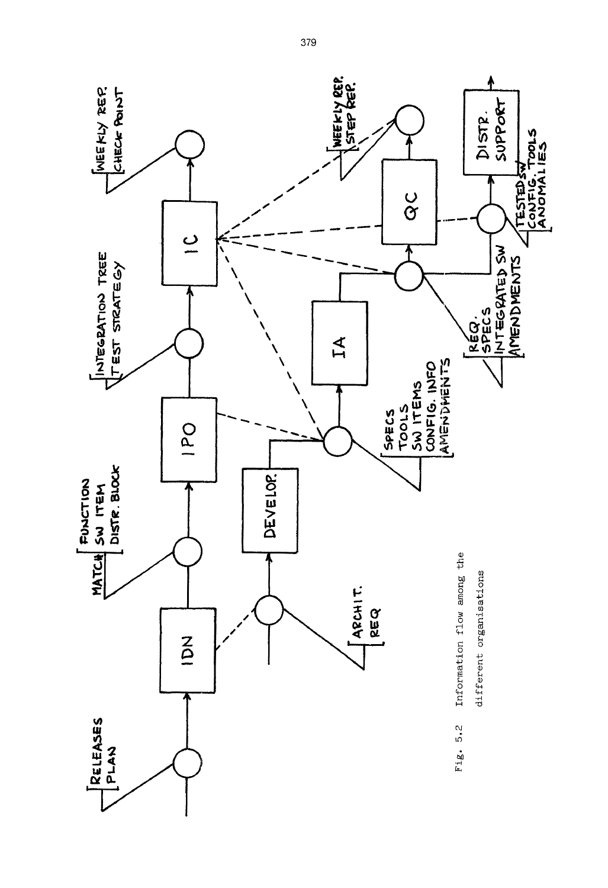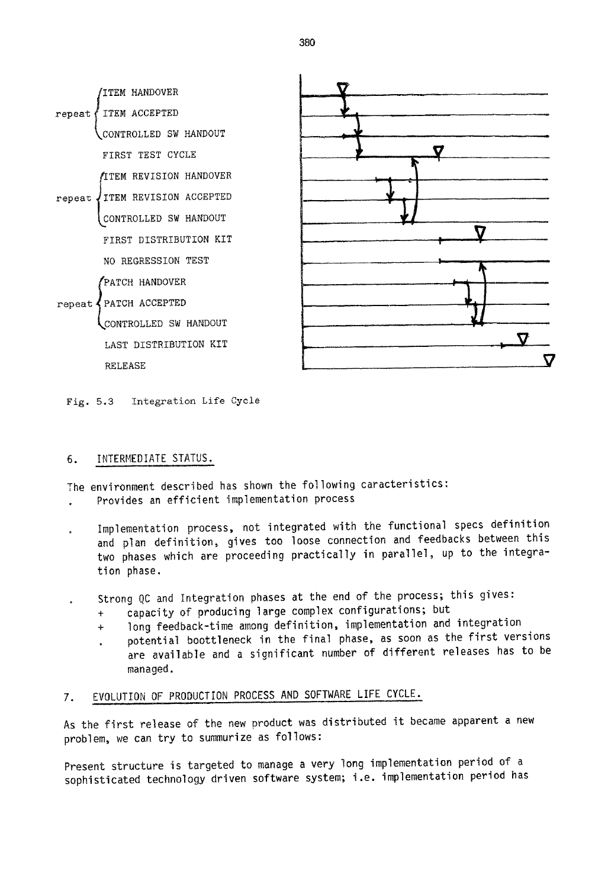

Fig. 5.3 Integration Life Cycle

## 6. INTERMEDIATE STATUS.

The environment described has shown the following caracteristics:

- Provides an efficient implementation process
- Implementation process, not integrated with the functional specs definition and plan definition, gives too loose connection and feedbacks between this two phases which are proceeding practically in parallel, up to the integration phase.
- Strong QC and Integration phases at the end of the process; this gives:
	- + capacity of producing large complex configurations; but
	- + long feedback-time among definition, implementation and integration
	- potential boottleneck in the final phase, as soon as the first versions are available and a significant number of different releases has to be managed.
- 7. EVOLUTION OF PRODUCTION PROCESS AND SOFTWARE LIFE CYCLE.

As the first release of the new product was distributed it became apparent a new problem, we can try to summurize as follows:

Present structure is targeted to manage a very long implementation period of a sophisticated technology driven software system; i.e. implementation period has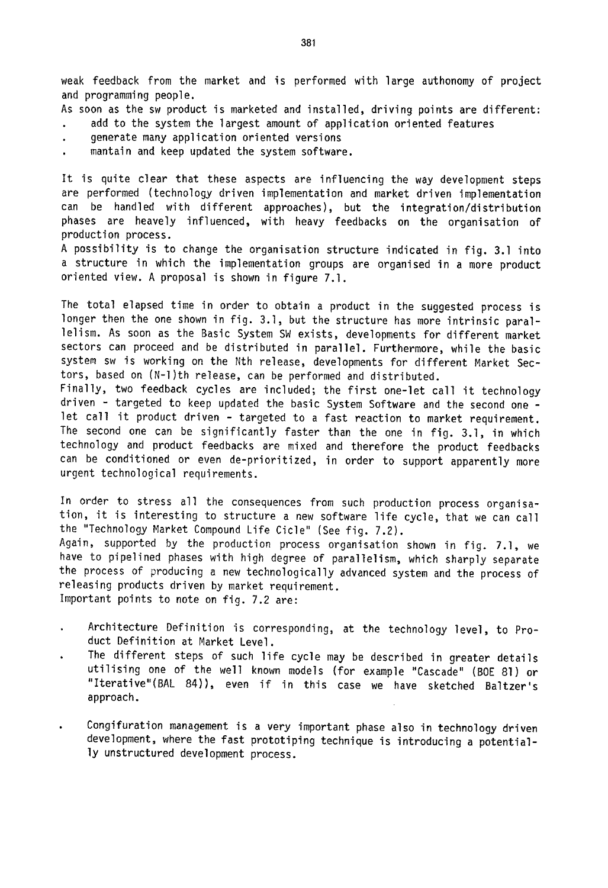weak feedback from the market and is performed with large authonomy of project and programming people.

As soon as the sw product is marketed and installed, driving points are different:

- add to the system the largest amount of application oriented features
- generate many application oriented versions
- mantain and keep updated the system software.

It is quite clear that these aspects are influencing the way development steps are performed (technology driven implementation and market driven implementation can be handled with different approaches), but the integration/distribution phases are heavely influenced, with heavy feedbacks on the organisation of production process.

A possibility is to change the organisation structure indicated in fig. 3.1 into a structure in which the implementation groups are organised in a more product oriented view. A proposal is shown in figure 7.1.

The total elapsed time in order to obtain a product in the suggested process is longer then the one shown in fig. 3.1, but the structure has more intrinsic parallelism. As soon as the Basic System SW exists, developments for different market sectors can proceed and be distributed in parallel. Furthermore, while the basic system sw is working on the Nth release, developments for different Market Sectors, based on (N-l)th release, can be performed and distributed.

Finally, two feedback cycles are included; the first one-let call it technology driven - targeted to keep updated the basic System Software and the second one let call it product driven - targeted to a fast reaction to market requirement. The second one can be significantly faster than the one in fig. 3.1, in which technology and product feedbacks are mixed and therefore the product feedbacks can be conditioned or even de-prioritized, in order to support apparently more urgent technological requirements.

In order to stress all the consequences from such production process organisation, it is interesting to structure a new software life cycle, that we can call the "Technology Market Compound Life Cicle" (See fig. 7.2).

Again, supported by the production process organisation shown in fig. 7.1, we have to pipelined phases with high degree of parallelism, which sharply separate the process of producing a new technologically advanced system and the process of releasing products driven by market requirement.

Important points to note on fig. 7.2 are:

- Architecture Definition is corresponding, at the technology level, to Product Definition at Market Level.
- The different steps of such life cycle may be described in greater details utilising one of the well known models (for example "Cascade" (BOE 81) or "Iterative"(BAL 84)), even if in this case we have sketched Baltzer's approach.
- Congifuration management is a very important phase also in technology driven  $\bullet$ development, where the fast prototiping technique is introducing a potentially unstructured development process.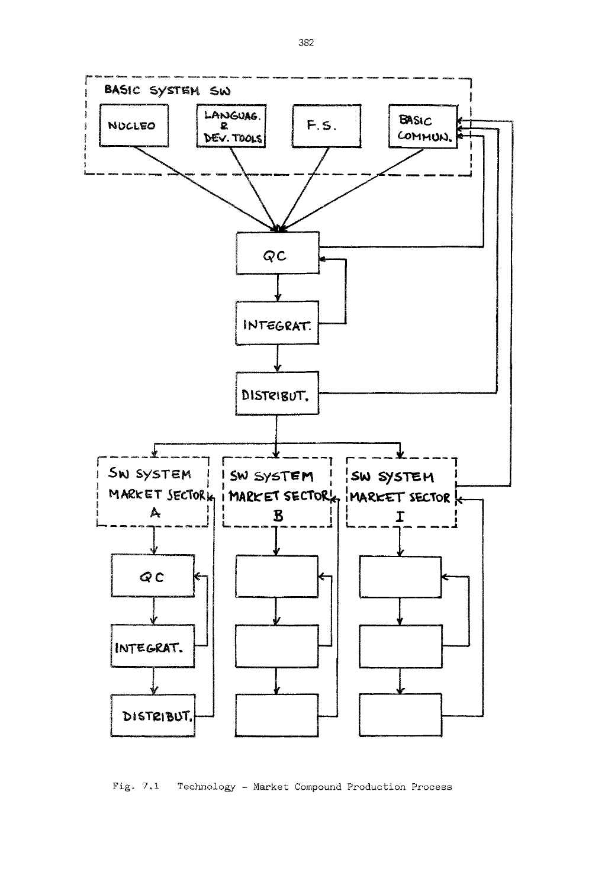

Fig. 7.1 Technology - Market Compound Production Process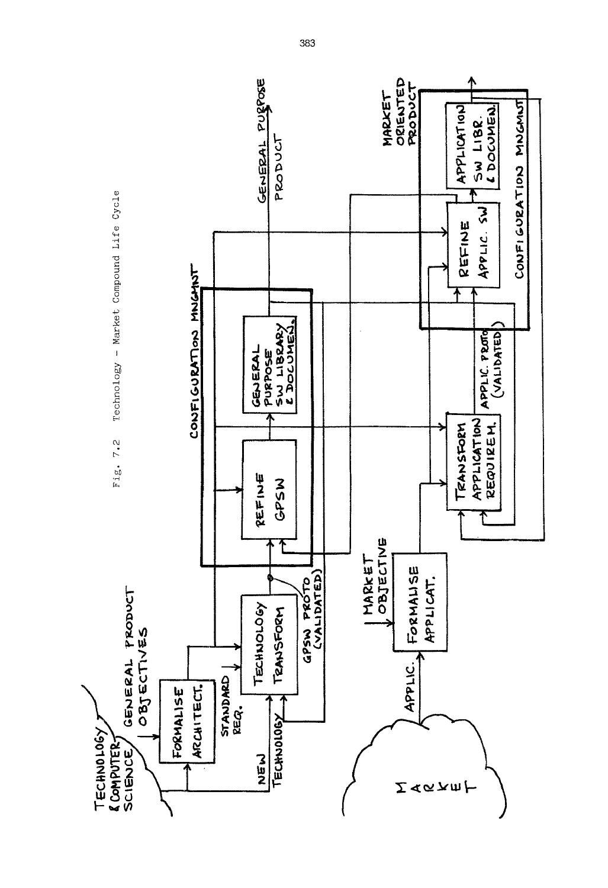